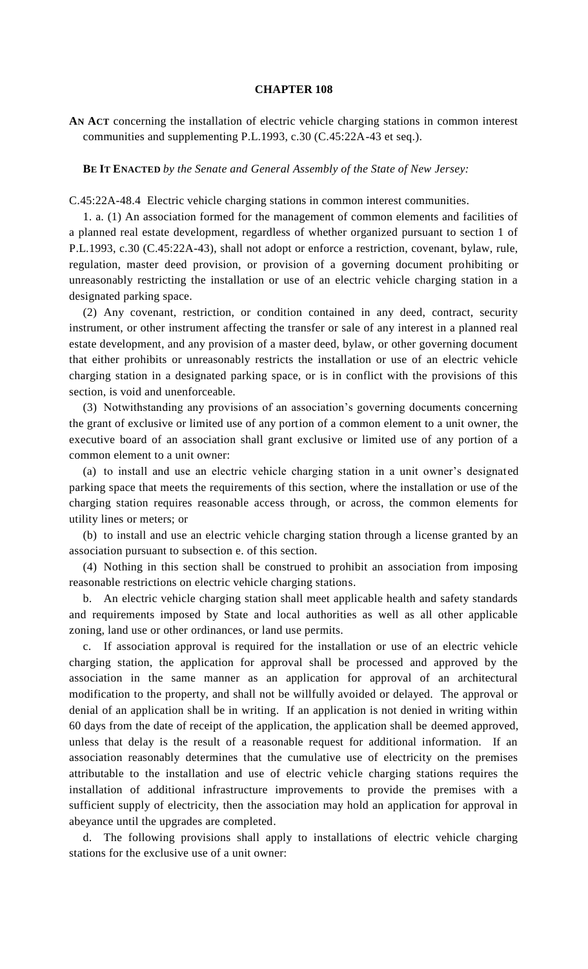## **CHAPTER 108**

**AN ACT** concerning the installation of electric vehicle charging stations in common interest communities and supplementing P.L.1993, c.30 (C.45:22A-43 et seq.).

**BE IT ENACTED** *by the Senate and General Assembly of the State of New Jersey:*

C.45:22A-48.4 Electric vehicle charging stations in common interest communities.

1. a. (1) An association formed for the management of common elements and facilities of a planned real estate development, regardless of whether organized pursuant to section 1 of P.L.1993, c.30 (C.45:22A-43), shall not adopt or enforce a restriction, covenant, bylaw, rule, regulation, master deed provision, or provision of a governing document prohibiting or unreasonably restricting the installation or use of an electric vehicle charging station in a designated parking space.

(2) Any covenant, restriction, or condition contained in any deed, contract, security instrument, or other instrument affecting the transfer or sale of any interest in a planned real estate development, and any provision of a master deed, bylaw, or other governing document that either prohibits or unreasonably restricts the installation or use of an electric vehicle charging station in a designated parking space, or is in conflict with the provisions of this section, is void and unenforceable.

(3) Notwithstanding any provisions of an association's governing documents concerning the grant of exclusive or limited use of any portion of a common element to a unit owner, the executive board of an association shall grant exclusive or limited use of any portion of a common element to a unit owner:

(a) to install and use an electric vehicle charging station in a unit owner's designated parking space that meets the requirements of this section, where the installation or use of the charging station requires reasonable access through, or across, the common elements for utility lines or meters; or

(b) to install and use an electric vehicle charging station through a license granted by an association pursuant to subsection e. of this section.

(4) Nothing in this section shall be construed to prohibit an association from imposing reasonable restrictions on electric vehicle charging stations.

b. An electric vehicle charging station shall meet applicable health and safety standards and requirements imposed by State and local authorities as well as all other applicable zoning, land use or other ordinances, or land use permits.

c. If association approval is required for the installation or use of an electric vehicle charging station, the application for approval shall be processed and approved by the association in the same manner as an application for approval of an architectural modification to the property, and shall not be willfully avoided or delayed. The approval or denial of an application shall be in writing. If an application is not denied in writing within 60 days from the date of receipt of the application, the application shall be deemed approved, unless that delay is the result of a reasonable request for additional information. If an association reasonably determines that the cumulative use of electricity on the premises attributable to the installation and use of electric vehicle charging stations requires the installation of additional infrastructure improvements to provide the premises with a sufficient supply of electricity, then the association may hold an application for approval in abeyance until the upgrades are completed.

d. The following provisions shall apply to installations of electric vehicle charging stations for the exclusive use of a unit owner: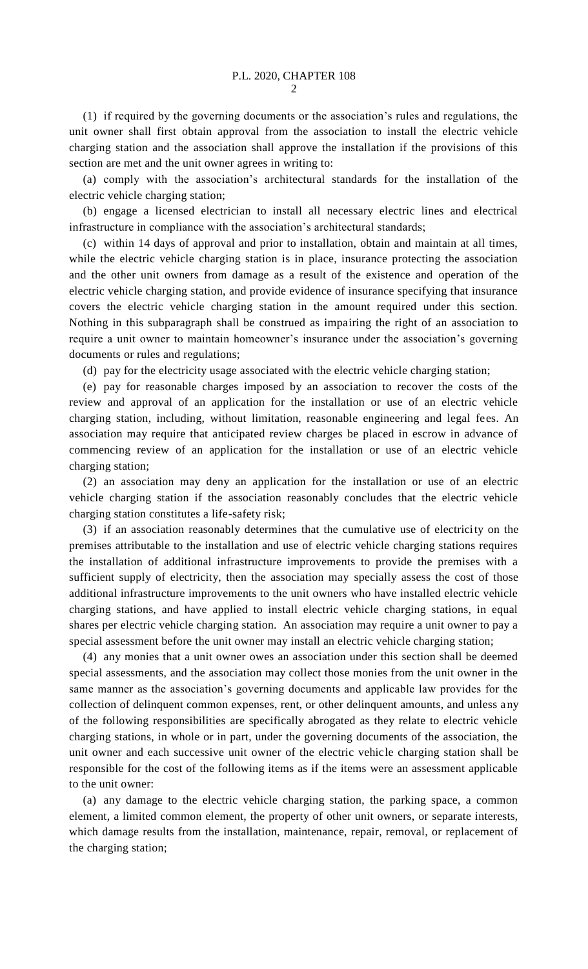(1) if required by the governing documents or the association's rules and regulations, the unit owner shall first obtain approval from the association to install the electric vehicle charging station and the association shall approve the installation if the provisions of this section are met and the unit owner agrees in writing to:

(a) comply with the association's architectural standards for the installation of the electric vehicle charging station;

(b) engage a licensed electrician to install all necessary electric lines and electrical infrastructure in compliance with the association's architectural standards;

(c) within 14 days of approval and prior to installation, obtain and maintain at all times, while the electric vehicle charging station is in place, insurance protecting the association and the other unit owners from damage as a result of the existence and operation of the electric vehicle charging station, and provide evidence of insurance specifying that insurance covers the electric vehicle charging station in the amount required under this section. Nothing in this subparagraph shall be construed as impairing the right of an association to require a unit owner to maintain homeowner's insurance under the association's governing documents or rules and regulations;

(d) pay for the electricity usage associated with the electric vehicle charging station;

(e) pay for reasonable charges imposed by an association to recover the costs of the review and approval of an application for the installation or use of an electric vehicle charging station, including, without limitation, reasonable engineering and legal fees. An association may require that anticipated review charges be placed in escrow in advance of commencing review of an application for the installation or use of an electric vehicle charging station;

(2) an association may deny an application for the installation or use of an electric vehicle charging station if the association reasonably concludes that the electric vehicle charging station constitutes a life-safety risk;

(3) if an association reasonably determines that the cumulative use of electricity on the premises attributable to the installation and use of electric vehicle charging stations requires the installation of additional infrastructure improvements to provide the premises with a sufficient supply of electricity, then the association may specially assess the cost of those additional infrastructure improvements to the unit owners who have installed electric vehicle charging stations, and have applied to install electric vehicle charging stations, in equal shares per electric vehicle charging station. An association may require a unit owner to pay a special assessment before the unit owner may install an electric vehicle charging station;

(4) any monies that a unit owner owes an association under this section shall be deemed special assessments, and the association may collect those monies from the unit owner in the same manner as the association's governing documents and applicable law provides for the collection of delinquent common expenses, rent, or other delinquent amounts, and unless any of the following responsibilities are specifically abrogated as they relate to electric vehicle charging stations, in whole or in part, under the governing documents of the association, the unit owner and each successive unit owner of the electric vehicle charging station shall be responsible for the cost of the following items as if the items were an assessment applicable to the unit owner:

(a) any damage to the electric vehicle charging station, the parking space, a common element, a limited common element, the property of other unit owners, or separate interests, which damage results from the installation, maintenance, repair, removal, or replacement of the charging station;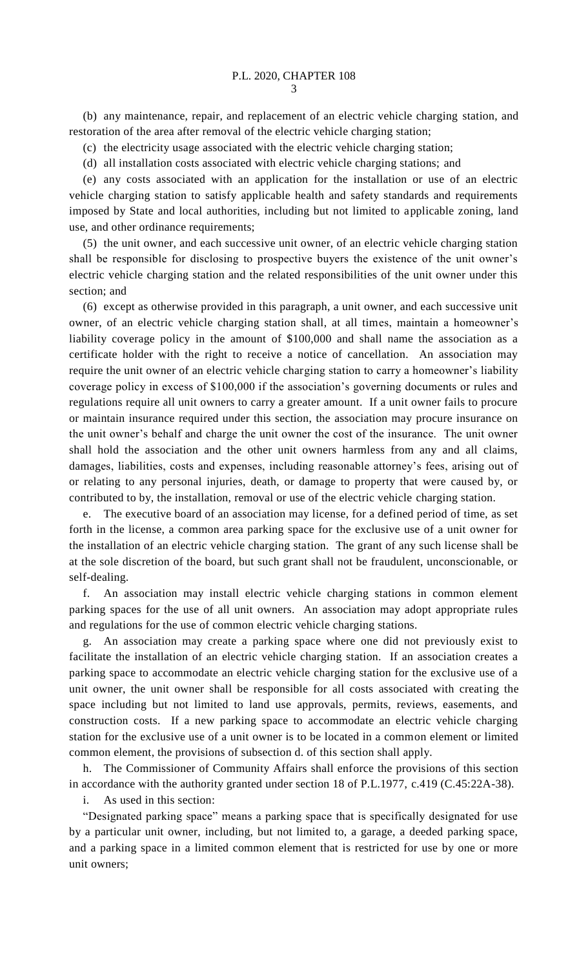(b) any maintenance, repair, and replacement of an electric vehicle charging station, and restoration of the area after removal of the electric vehicle charging station;

(c) the electricity usage associated with the electric vehicle charging station;

(d) all installation costs associated with electric vehicle charging stations; and

(e) any costs associated with an application for the installation or use of an electric vehicle charging station to satisfy applicable health and safety standards and requirements imposed by State and local authorities, including but not limited to applicable zoning, land use, and other ordinance requirements;

(5) the unit owner, and each successive unit owner, of an electric vehicle charging station shall be responsible for disclosing to prospective buyers the existence of the unit owner's electric vehicle charging station and the related responsibilities of the unit owner under this section; and

(6) except as otherwise provided in this paragraph, a unit owner, and each successive unit owner, of an electric vehicle charging station shall, at all times, maintain a homeowner's liability coverage policy in the amount of \$100,000 and shall name the association as a certificate holder with the right to receive a notice of cancellation. An association may require the unit owner of an electric vehicle charging station to carry a homeowner's liability coverage policy in excess of \$100,000 if the association's governing documents or rules and regulations require all unit owners to carry a greater amount. If a unit owner fails to procure or maintain insurance required under this section, the association may procure insurance on the unit owner's behalf and charge the unit owner the cost of the insurance. The unit owner shall hold the association and the other unit owners harmless from any and all claims, damages, liabilities, costs and expenses, including reasonable attorney's fees, arising out of or relating to any personal injuries, death, or damage to property that were caused by, or contributed to by, the installation, removal or use of the electric vehicle charging station.

e. The executive board of an association may license, for a defined period of time, as set forth in the license, a common area parking space for the exclusive use of a unit owner for the installation of an electric vehicle charging station. The grant of any such license shall be at the sole discretion of the board, but such grant shall not be fraudulent, unconscionable, or self-dealing.

f. An association may install electric vehicle charging stations in common element parking spaces for the use of all unit owners. An association may adopt appropriate rules and regulations for the use of common electric vehicle charging stations.

g. An association may create a parking space where one did not previously exist to facilitate the installation of an electric vehicle charging station. If an association creates a parking space to accommodate an electric vehicle charging station for the exclusive use of a unit owner, the unit owner shall be responsible for all costs associated with creating the space including but not limited to land use approvals, permits, reviews, easements, and construction costs. If a new parking space to accommodate an electric vehicle charging station for the exclusive use of a unit owner is to be located in a common element or limited common element, the provisions of subsection d. of this section shall apply.

h. The Commissioner of Community Affairs shall enforce the provisions of this section in accordance with the authority granted under section 18 of P.L.1977, c.419 (C.45:22A-38).

i. As used in this section:

"Designated parking space" means a parking space that is specifically designated for use by a particular unit owner, including, but not limited to, a garage, a deeded parking space, and a parking space in a limited common element that is restricted for use by one or more unit owners;